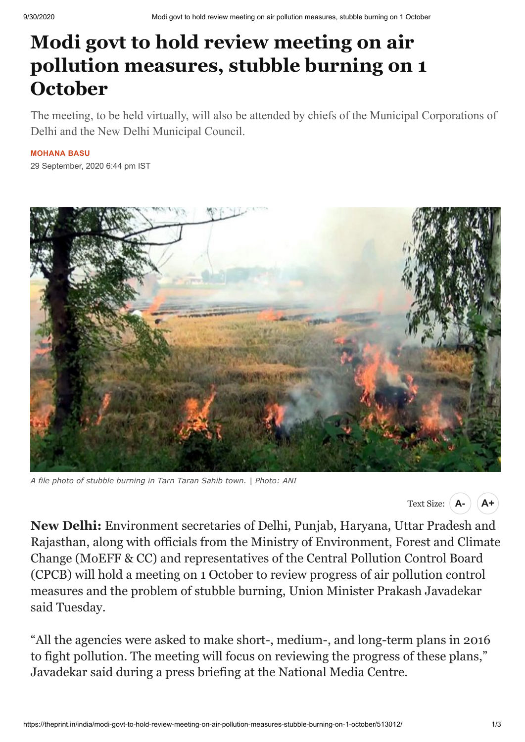## **Modi govt to hold review meeting on air pollution measures, stubble burning on 1 October**

The meeting, to be held virtually, will also be attended by chiefs of the Municipal Corporations of Delhi and the New Delhi Municipal Council.

## **[MOHANA](https://theprint.in/author/mohana-basu/) BASU**

29 September, 2020 6:44 pm IST



*A file photo of stubble burning in Tarn Taran Sahib town. | Photo: ANI*

Text Size: **A- A+**

**New Delhi:** Environment secretaries of Delhi, Punjab, Haryana, Uttar Pradesh and Rajasthan, along with officials from the Ministry of Environment, Forest and Climate Change (MoEFF & CC) and representatives of the Central Pollution Control Board (CPCB) will hold a meeting on 1 October to review progress of air pollution control measures and the problem of stubble burning, Union Minister Prakash Javadekar said Tuesday.

"All the agencies were asked to make short-, medium-, and long-term plans in 2016 to fight pollution. The meeting will focus on reviewing the progress of these plans," Javadekar said during a press briefing at the National Media Centre.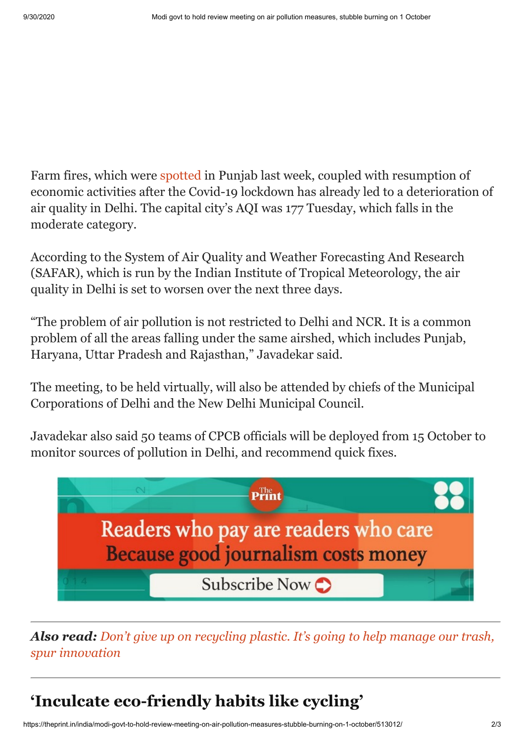Farm fires, which were [spotted](https://theprint.in/environment/delhi-air-pollution-set-to-spike-again-as-stubble-burning-begins-and-economy-reopens/512148/) in Punjab last week, coupled with resumption of economic activities after the Covid-19 lockdown has already led to a deterioration of air quality in Delhi. The capital city's AQI was 177 Tuesday, which falls in the moderate category.

According to the System of Air Quality and Weather Forecasting And Research (SAFAR), which is run by the Indian Institute of Tropical Meteorology, the air quality in Delhi is set to worsen over the next three days.

"The problem of air pollution is not restricted to Delhi and NCR. It is a common problem of all the areas falling under the same airshed, which includes Punjab, Haryana, Uttar Pradesh and Rajasthan," Javadekar said.

The meeting, to be held virtually, will also be attended by chiefs of the Municipal Corporations of Delhi and the New Delhi Municipal Council.

Javadekar also said 50 teams of CPCB officials will be deployed from 15 October to monitor sources of pollution in Delhi, and recommend quick fixes.



*Also read: [Don't give up on recycling plastic. It's going to help manage our trash,](https://theprint.in/opinion/dont-give-up-on-recycling-plastic-its-going-to-help-manage-our-trash-spur-innovation/506446/) spur innovation*

## **'Inculcate eco-friendly habits like cycling'**